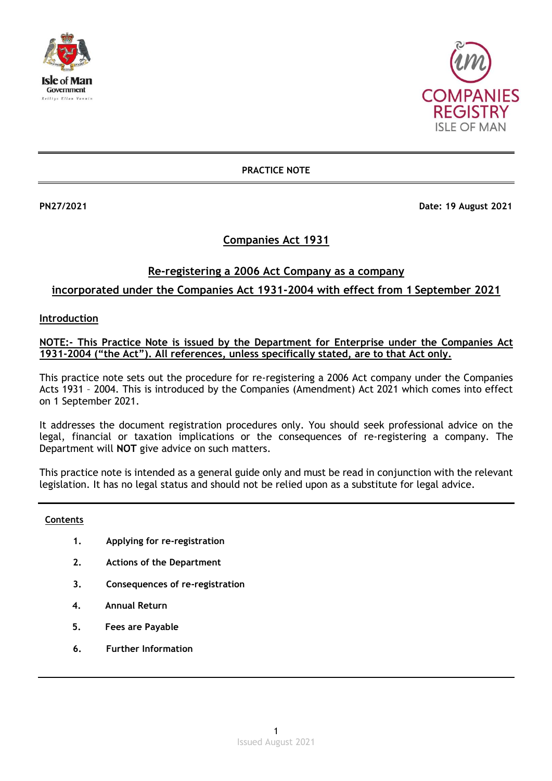



**PRACTICE NOTE**

**PN27/2021 Date: 19 August 2021** 

# **Companies Act 1931**

# **Re-registering a 2006 Act Company as a company incorporated under the Companies Act 1931-2004 with effect from 1 September 2021**

### **Introduction**

## **NOTE:- This Practice Note is issued by the Department for Enterprise under the Companies Act 1931-2004 ("the Act"). All references, unless specifically stated, are to that Act only.**

This practice note sets out the procedure for re-registering a 2006 Act company under the Companies Acts 1931 – 2004. This is introduced by the Companies (Amendment) Act 2021 which comes into effect on 1 September 2021.

It addresses the document registration procedures only. You should seek professional advice on the legal, financial or taxation implications or the consequences of re-registering a company. The Department will **NOT** give advice on such matters.

This practice note is intended as a general guide only and must be read in conjunction with the relevant legislation. It has no legal status and should not be relied upon as a substitute for legal advice.

#### **Contents**

- **1. Applying for re-registration**
- **2. Actions of the Department**
- **3. Consequences of re-registration**
- **4. Annual Return**
- **5. Fees are Payable**
- **6. Further Information**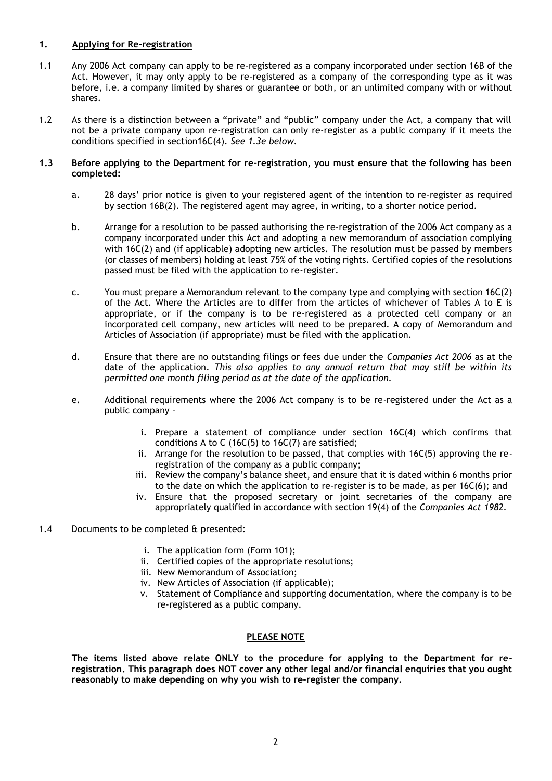#### **1. Applying for Re-registration**

- 1.1 Any 2006 Act company can apply to be re-registered as a company incorporated under section 16B of the Act. However, it may only apply to be re-registered as a company of the corresponding type as it was before, i.e. a company limited by shares or guarantee or both, or an unlimited company with or without shares.
- 1.2 As there is a distinction between a "private" and "public" company under the Act, a company that will not be a private company upon re-registration can only re-register as a public company if it meets the conditions specified in section16C(4). *See 1.3e below.*

#### **1.3 Before applying to the Department for re-registration, you must ensure that the following has been completed:**

- a. 28 days' prior notice is given to your registered agent of the intention to re-register as required by section 16B(2). The registered agent may agree, in writing, to a shorter notice period.
- b. Arrange for a resolution to be passed authorising the re-registration of the 2006 Act company as a company incorporated under this Act and adopting a new memorandum of association complying with 16C(2) and (if applicable) adopting new articles. The resolution must be passed by members (or classes of members) holding at least 75% of the voting rights. Certified copies of the resolutions passed must be filed with the application to re-register.
- c. You must prepare a Memorandum relevant to the company type and complying with section 16C(2) of the Act. Where the Articles are to differ from the articles of whichever of Tables A to E is appropriate, or if the company is to be re-registered as a protected cell company or an incorporated cell company, new articles will need to be prepared. A copy of Memorandum and Articles of Association (if appropriate) must be filed with the application.
- d. Ensure that there are no outstanding filings or fees due under the *Companies Act 2006* as at the date of the application. *This also applies to any annual return that may still be within its permitted one month filing period as at the date of the application.*
- e. Additional requirements where the 2006 Act company is to be re-registered under the Act as a public company –
	- i. Prepare a statement of compliance under section 16C(4) which confirms that conditions A to C (16C(5) to 16C(7) are satisfied;
	- ii. Arrange for the resolution to be passed, that complies with 16C(5) approving the reregistration of the company as a public company;
	- iii. Review the company's balance sheet, and ensure that it is dated within 6 months prior to the date on which the application to re-register is to be made, as per 16C(6); and
	- iv. Ensure that the proposed secretary or joint secretaries of the company are appropriately qualified in accordance with section 19(4) of the *Companies Act 1982.*
- 1.4 Documents to be completed & presented:
	- i. The application form (Form 101);
	- ii. Certified copies of the appropriate resolutions;
	- iii. New Memorandum of Association;
	- iv. New Articles of Association (if applicable);
	- v. Statement of Compliance and supporting documentation, where the company is to be re-registered as a public company.

#### **PLEASE NOTE**

**The items listed above relate ONLY to the procedure for applying to the Department for reregistration. This paragraph does NOT cover any other legal and/or financial enquiries that you ought reasonably to make depending on why you wish to re-register the company.**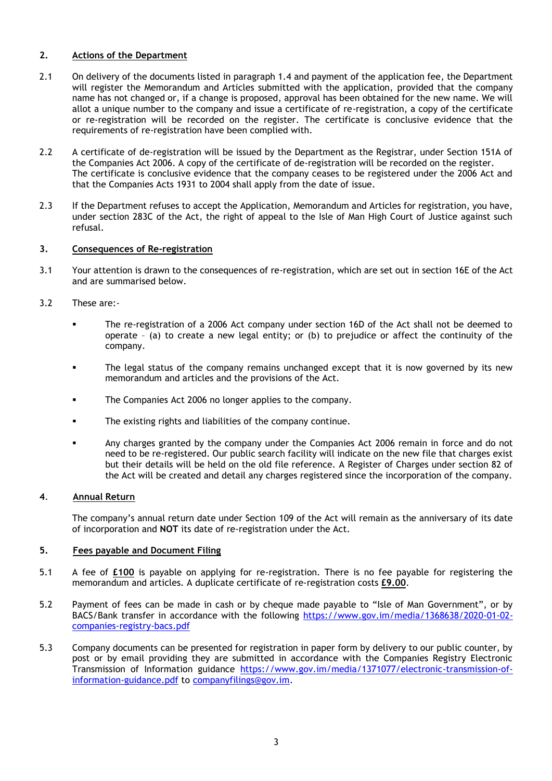#### **2. Actions of the Department**

- 2.1 On delivery of the documents listed in paragraph 1.4 and payment of the application fee, the Department will register the Memorandum and Articles submitted with the application, provided that the company name has not changed or, if a change is proposed, approval has been obtained for the new name. We will allot a unique number to the company and issue a certificate of re-registration, a copy of the certificate or re-registration will be recorded on the register. The certificate is conclusive evidence that the requirements of re-registration have been complied with.
- 2.2 A certificate of de-registration will be issued by the Department as the Registrar, under Section 151A of the Companies Act 2006. A copy of the certificate of de-registration will be recorded on the register. The certificate is conclusive evidence that the company ceases to be registered under the 2006 Act and that the Companies Acts 1931 to 2004 shall apply from the date of issue.
- 2.3 If the Department refuses to accept the Application, Memorandum and Articles for registration, you have, under section 283C of the Act, the right of appeal to the Isle of Man High Court of Justice against such refusal.

### **3. Consequences of Re-registration**

- 3.1 Your attention is drawn to the consequences of re-registration, which are set out in section 16E of the Act and are summarised below.
- 3.2 These are:-
	- The re-registration of a 2006 Act company under section 16D of the Act shall not be deemed to operate – (a) to create a new legal entity; or (b) to prejudice or affect the continuity of the company.
	- The legal status of the company remains unchanged except that it is now governed by its new memorandum and articles and the provisions of the Act.
	- **The Companies Act 2006 no longer applies to the company.**
	- The existing rights and liabilities of the company continue.
	- Any charges granted by the company under the Companies Act 2006 remain in force and do not need to be re-registered. Our public search facility will indicate on the new file that charges exist but their details will be held on the old file reference. A Register of Charges under section 82 of the Act will be created and detail any charges registered since the incorporation of the company.

#### **4**. **Annual Return**

The company's annual return date under Section 109 of the Act will remain as the anniversary of its date of incorporation and **NOT** its date of re-registration under the Act.

#### **5. Fees payable and Document Filing**

- 5.1 A fee of **£100** is payable on applying for re-registration. There is no fee payable for registering the memorandum and articles. A duplicate certificate of re-registration costs **£9.00**.
- 5.2 Payment of fees can be made in cash or by cheque made payable to "Isle of Man Government", or by BACS/Bank transfer in accordance with the following [https://www.gov.im/media/1368638/2020-01-02](https://www.gov.im/media/1368638/2020-01-02-companies-registry-bacs.pdf) [companies-registry-bacs.pdf](https://www.gov.im/media/1368638/2020-01-02-companies-registry-bacs.pdf)
- 5.3 Company documents can be presented for registration in paper form by delivery to our public counter, by post or by email providing they are submitted in accordance with the Companies Registry Electronic Transmission of Information guidance [https://www.gov.im/media/1371077/electronic-transmission-of](https://www.gov.im/media/1371077/electronic-transmission-of-information-guidance.pdf)[information-guidance.pdf](https://www.gov.im/media/1371077/electronic-transmission-of-information-guidance.pdf) to [companyfilings@gov.im.](mailto:companyfilings@gov.im)